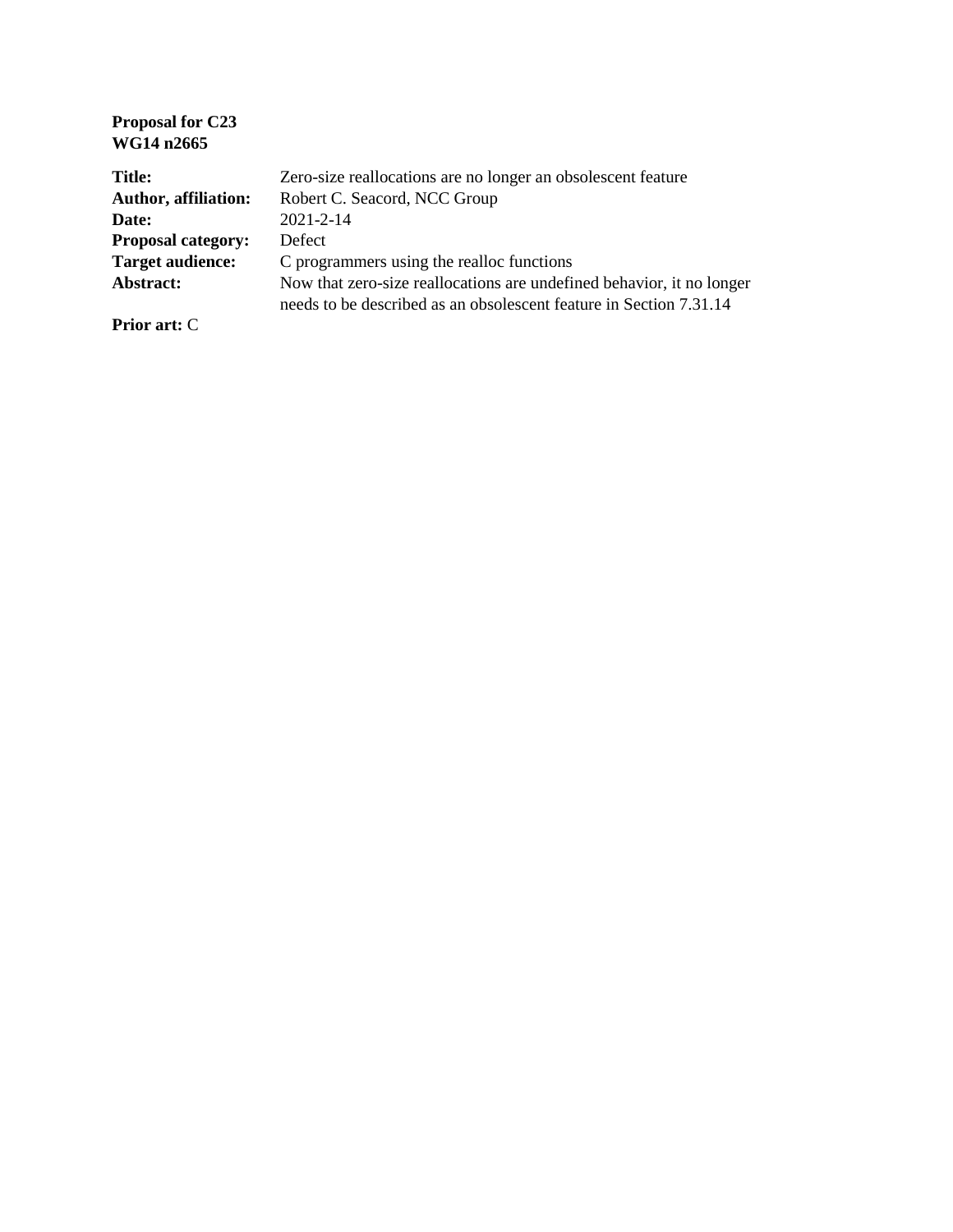| <b>Proposal for C23</b><br>WG14 n2665 |                                                                                                                                             |
|---------------------------------------|---------------------------------------------------------------------------------------------------------------------------------------------|
| <b>Title:</b>                         | Zero-size reallocations are no longer an obsolescent feature                                                                                |
| <b>Author, affiliation:</b>           | Robert C. Seacord, NCC Group                                                                                                                |
| Date:                                 | $2021 - 2 - 14$                                                                                                                             |
| <b>Proposal category:</b>             | <b>Defect</b>                                                                                                                               |
| <b>Target audience:</b>               | C programmers using the realloc functions                                                                                                   |
| Abstract:                             | Now that zero-size reallocations are undefined behavior, it no longer<br>needs to be described as an obsolescent feature in Section 7.31.14 |
| <b>Prior art: C</b>                   |                                                                                                                                             |